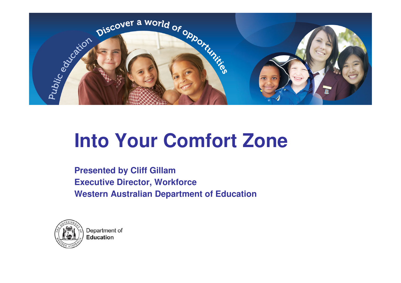

#### **Into Your Comfort Zone**

**Presented by Cliff Gillam Executive Director, WorkforceWestern Australian Department of Education**



Department of **Education**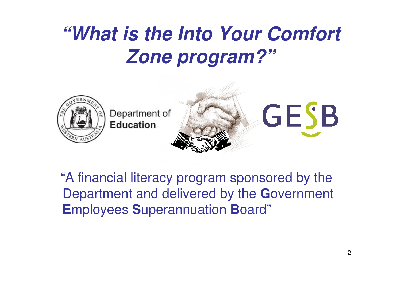#### **"What is the Into Your Comfort Zone program?"**



"A financial literacy program sponsored by the Department and delivered by the **G**overnment **E**mployees **S**uperannuation **B**oard"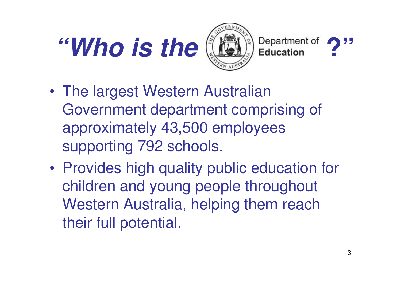## **"Who is the**  $(\mathbb{R})^3$  **Department of**





- • The largest Western Australian Government department comprising of approximately 43,500 employees supporting 792 schools.
- • Provides high quality public education for children and young people throughout Western Australia, helping them reach their full potential.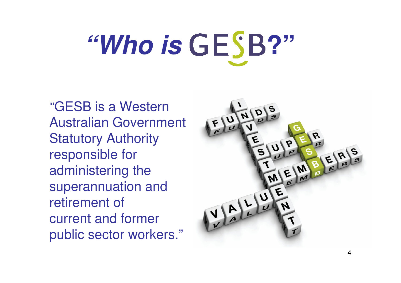# **"Who is GESB?"**

"GESB is a Western Australian Government Statutory Authority responsible for administering the superannuation and retirement ofcurrent and former public sector workers."

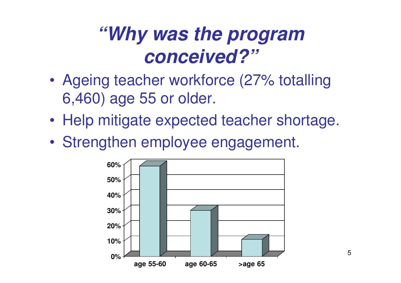#### **"Why was the program conceived?"**

- • Ageing teacher workforce (27% totalling 6,460) age 55 or older.
- •Help mitigate expected teacher shortage.
- •Strengthen employee engagement.

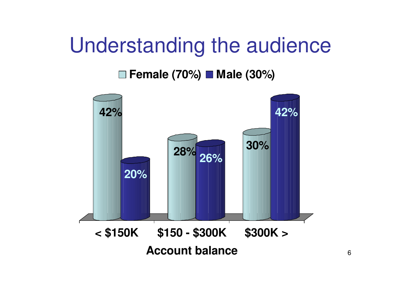#### Understanding the audience

#### **Female (70%) Male (30%)**

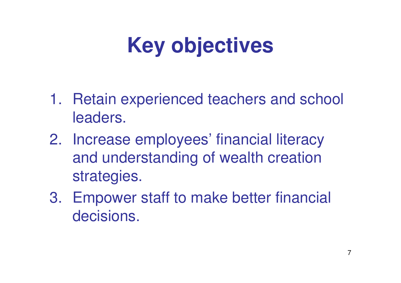### **Key objectives**

- 1. Retain experienced teachers and school leaders.
- 2. Increase employees' financial literacy and understanding of wealth creation strategies.
- 3. Empower staff to make better financial decisions.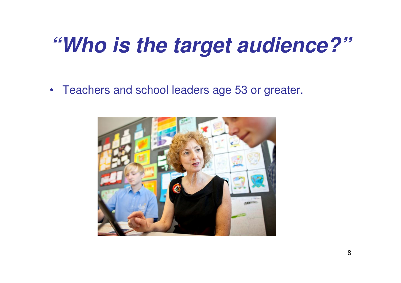#### **"Who is the target audience?"**

• Teachers and school leaders age 53 or greater.

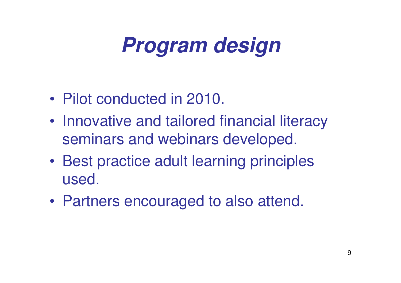#### **Program design**

- •Pilot conducted in 2010.
- • Innovative and tailored financial literacy seminars and webinars developed.
- • Best practice adult learning principles used.
- •Partners encouraged to also attend.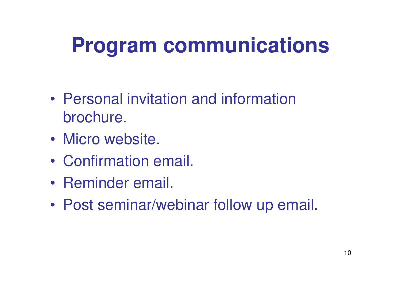#### **Program communications**

- • Personal invitation and information brochure.
- •Micro website.
- •Confirmation email.
- •Reminder email.
- •Post seminar/webinar follow up email.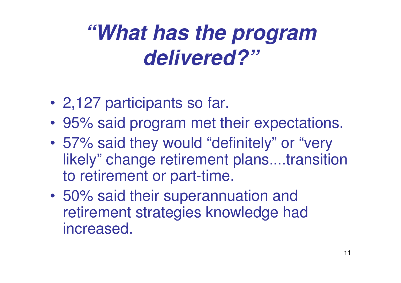#### **"What has the program delivered?"**

- •2,127 participants so far.
- •95% said program met their expectations.
- • 57% said they would "definitely" or "very likely" change retirement plans....transition to retirement or part-time.
- $\bullet$  50% said their superannuation and retirement strategies knowledge had increased.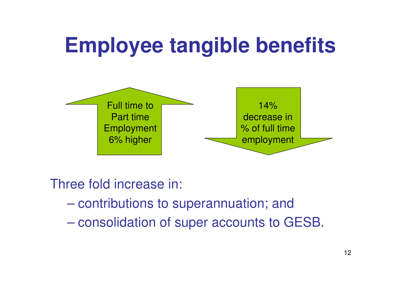#### **Employee tangible benefits**



Three fold increase in:

- $\mathcal{L}_{\mathcal{A}}$ contributions to superannuation; and
- $\mathcal{L}_{\mathcal{A}}$  , and the set of the set of the set of the set of the set of the set of the set of the set of the set of the set of the set of the set of the set of the set of the set of the set of the set of the set of th consolidation of super accounts to GESB.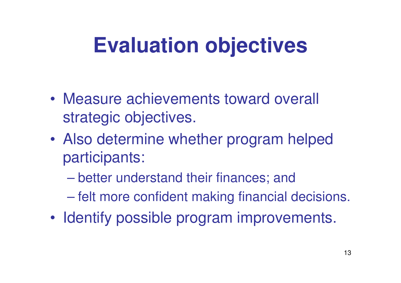#### **Evaluation objectives**

- • Measure achievements toward overall strategic objectives.
- • Also determine whether program helped participants:
	- $\mathcal{L}_{\mathcal{A}}$  , and the set of the set of the set of the set of the set of the set of the set of the set of the set of the set of the set of the set of the set of the set of the set of the set of the set of the set of th better understand their finances; and
	- $\mathcal{L}_{\mathcal{A}}$  , and the set of the set of the set of the set of the set of the set of the set of the set of the set of the set of the set of the set of the set of the set of the set of the set of the set of the set of th felt more confident making financial decisions.
- •Identify possible program improvements.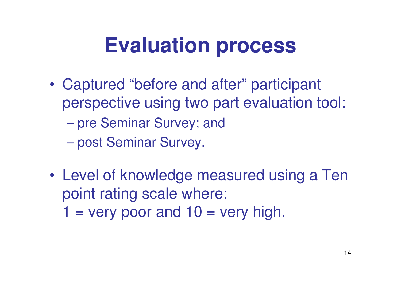#### **Evaluation process**

- • Captured "before and after" participant perspective using two part evaluation tool:
	- $\mathcal{L}_{\mathcal{A}}$  , and the set of the set of the set of the set of the set of the set of the set of the set of the set of the set of the set of the set of the set of the set of the set of the set of the set of the set of th pre Seminar Survey; and
	- –post Seminar Survey.
- • Level of knowledge measured using a Ten point rating scale where: $1 =$  very poor and  $10 =$  very high.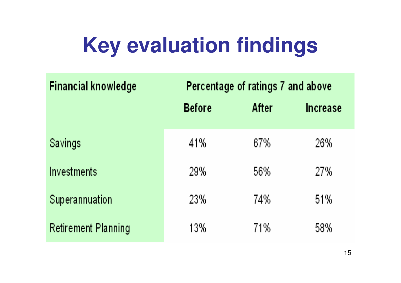#### **Key evaluation findings**

| <b>Financial knowledge</b> | Percentage of ratings 7 and above |       |                 |
|----------------------------|-----------------------------------|-------|-----------------|
|                            | <b>Before</b>                     | After | <b>Increase</b> |
| Savings                    | 41%                               | 67%   | 26%             |
| <b>Investments</b>         | 29%                               | 56%   | 27%             |
| Superannuation             | 23%                               | 74%   | 51%             |
| <b>Retirement Planning</b> | 13%                               | 71%   | 58%             |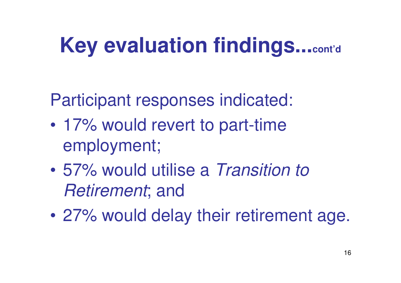#### **Key evaluation findings...cont'd**

Participant responses indicated:

- • 17% would revert to part-time employment;
- $\bullet$  57% would utilise a Transition to Retirement; and
- $\bullet$ 27% would delay their retirement age.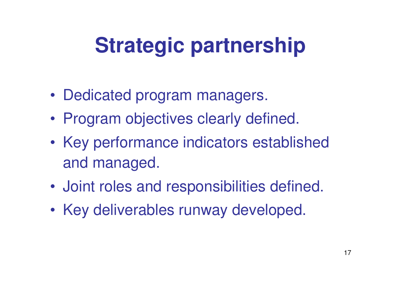#### **Strategic partnership**

- •Dedicated program managers.
- •Program objectives clearly defined.
- • Key performance indicators established and managed.
- •Joint roles and responsibilities defined.
- •Key deliverables runway developed.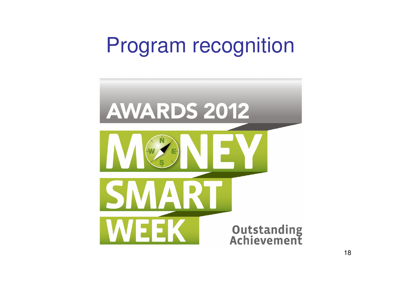#### Program recognition